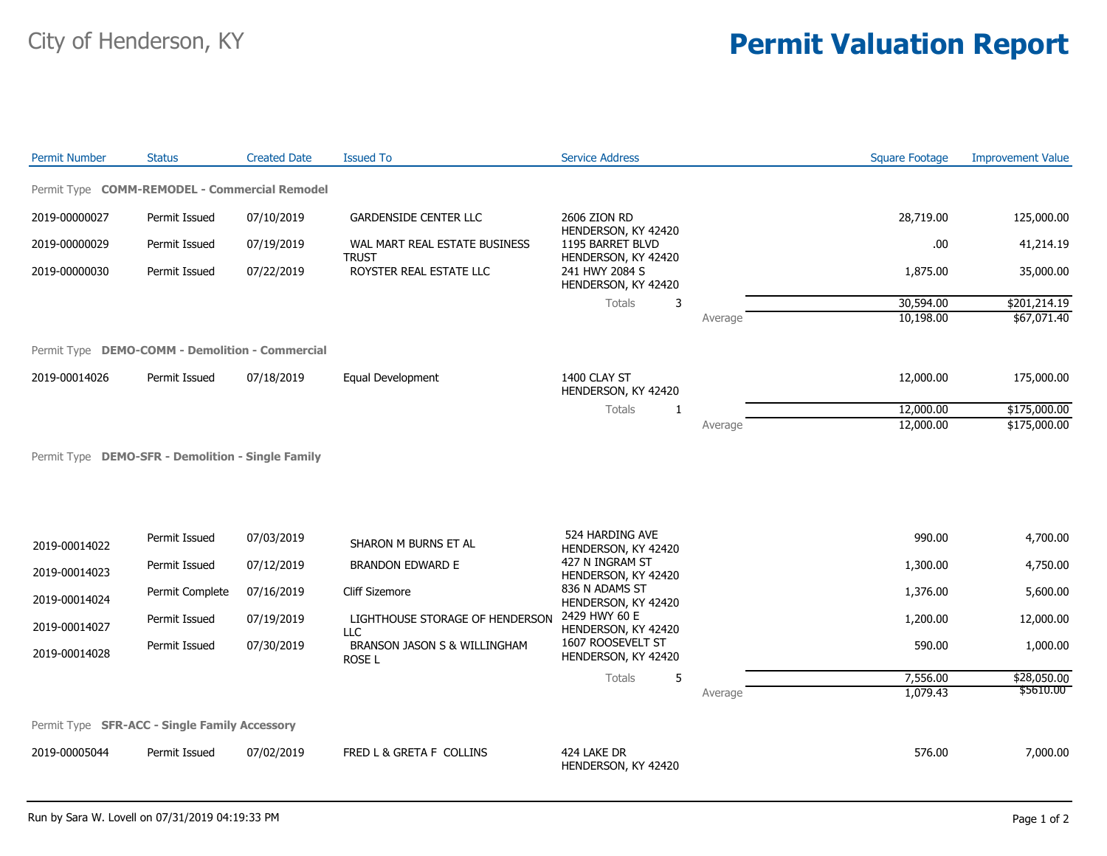## City of Henderson, KY **Permit Valuation Report**

| <b>Permit Number</b>                            | <b>Status</b>   | <b>Created Date</b> | <b>Issued To</b>                                              | <b>Service Address</b>                                                                                                  |         | <b>Square Footage</b> | <b>Improvement Value</b> |
|-------------------------------------------------|-----------------|---------------------|---------------------------------------------------------------|-------------------------------------------------------------------------------------------------------------------------|---------|-----------------------|--------------------------|
| Permit Type COMM-REMODEL - Commercial Remodel   |                 |                     |                                                               |                                                                                                                         |         |                       |                          |
| 2019-00000027                                   | Permit Issued   | 07/10/2019          | <b>GARDENSIDE CENTER LLC</b><br>WAL MART REAL ESTATE BUSINESS | 2606 ZION RD<br>HENDERSON, KY 42420<br>1195 BARRET BLVD<br>HENDERSON, KY 42420<br>241 HWY 2084 S<br>HENDERSON, KY 42420 |         | 28,719.00             | 125,000.00               |
| 2019-00000029                                   | Permit Issued   | 07/19/2019          |                                                               |                                                                                                                         |         | .00                   | 41,214.19                |
| 2019-00000030                                   | Permit Issued   | 07/22/2019          | <b>TRUST</b><br>ROYSTER REAL ESTATE LLC                       |                                                                                                                         |         | 1,875.00              | 35,000.00                |
|                                                 |                 |                     |                                                               | Totals<br>3                                                                                                             |         | 30,594.00             | \$201,214.19             |
|                                                 |                 |                     |                                                               |                                                                                                                         | Average | 10,198.00             | \$67,071.40              |
| Permit Type DEMO-COMM - Demolition - Commercial |                 |                     |                                                               |                                                                                                                         |         |                       |                          |
| 2019-00014026                                   | Permit Issued   | 07/18/2019          | Equal Development                                             | 1400 CLAY ST<br>HENDERSON, KY 42420                                                                                     |         | 12,000.00             | 175,000.00               |
|                                                 |                 |                     |                                                               | Totals<br>$\mathbf{1}$                                                                                                  |         | 12,000.00             | \$175,000.00             |
|                                                 |                 |                     |                                                               |                                                                                                                         | Average | 12,000.00             | \$175,000.00             |
|                                                 |                 |                     |                                                               |                                                                                                                         |         |                       |                          |
| 2019-00014022                                   | Permit Issued   | 07/03/2019          | SHARON M BURNS ET AL                                          | 524 HARDING AVE<br>HENDERSON, KY 42420                                                                                  |         | 990.00                | 4,700.00                 |
| 2019-00014023                                   | Permit Issued   | 07/12/2019          | <b>BRANDON EDWARD E</b>                                       | 427 N INGRAM ST<br>HENDERSON, KY 42420                                                                                  |         | 1,300.00              | 4,750.00                 |
| 2019-00014024                                   | Permit Complete | 07/16/2019          | <b>Cliff Sizemore</b>                                         | 836 N ADAMS ST<br>HENDERSON, KY 42420                                                                                   |         | 1,376.00              | 5,600.00                 |
| 2019-00014027                                   | Permit Issued   | 07/19/2019          | LIGHTHOUSE STORAGE OF HENDERSON<br>LLC                        | 2429 HWY 60 E<br>HENDERSON, KY 42420                                                                                    |         | 1,200.00              | 12,000.00                |
| 2019-00014028                                   | Permit Issued   | 07/30/2019          | BRANSON JASON S & WILLINGHAM<br>ROSE L                        | 1607 ROOSEVELT ST<br>HENDERSON, KY 42420                                                                                |         | 590.00                | 1,000.00                 |
|                                                 |                 |                     |                                                               | 5<br>Totals                                                                                                             |         | 7,556.00              | \$28,050.00              |
|                                                 |                 |                     |                                                               |                                                                                                                         | Average | 1,079.43              | \$5610.00                |
| Permit Type SFR-ACC - Single Family Accessory   |                 |                     |                                                               |                                                                                                                         |         |                       |                          |
| 2019-00005044                                   | Permit Issued   | 07/02/2019          | FRED L & GRETA F COLLINS                                      | 424 LAKE DR<br>HENDERSON, KY 42420                                                                                      |         | 576.00                | 7,000.00                 |